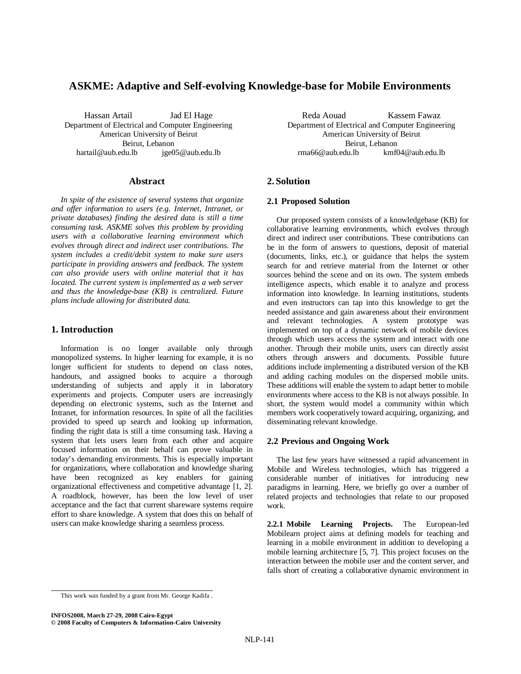# **ASKME: Adaptive and Self-evolving Knowledge-base for Mobile Environments**

Hassan Artail Jad El Hage Department of Electrical and Computer Engineering American University of Beirut Beirut, Lebanon hartail@aub.edu.lb jge05@aub.edu.lb

### **Abstract**

*In spite of the existence of several systems that organize and offer information to users (e.g. Internet, Intranet, or private databases) finding the desired data is still a time consuming task. ASKME solves this problem by providing users with a collaborative learning environment which evolves through direct and indirect user contributions. The system includes a credit/debit system to make sure users participate in providing answers and feedback. The system can also provide users with online material that it has located. The current system is implemented as a web server and thus the knowledge-base (KB) is centralized. Future plans include allowing for distributed data.*

### **1. Introduction**

Information is no longer available only through monopolized systems. In higher learning for example, it is no longer sufficient for students to depend on class notes, handouts, and assigned books to acquire a thorough understanding of subjects and apply it in laboratory experiments and projects. Computer users are increasingly depending on electronic systems, such as the Internet and Intranet, for information resources. In spite of all the facilities provided to speed up search and looking up information, finding the right data is still a time consuming task. Having a system that lets users learn from each other and acquire focused information on their behalf can prove valuable in today's demanding environments. This is especially important for organizations, where collaboration and knowledge sharing have been recognized as key enablers for gaining organizational effectiveness and competitive advantage [1, 2]. A roadblock, however, has been the low level of user acceptance and the fact that current shareware systems require effort to share knowledge. A system that does this on behalf of users can make knowledge sharing a seamless process.

Reda Aouad Kassem Fawaz Department of Electrical and Computer Engineering American University of Beirut Beirut, Lebanon rma66@aub.edu.lb kmf04@aub.edu.lb

## **2. Solution**

### **2.1 Proposed Solution**

Our proposed system consists of a knowledgebase (KB) for collaborative learning environments, which evolves through direct and indirect user contributions. These contributions can be in the form of answers to questions, deposit of material (documents, links, etc.), or guidance that helps the system search for and retrieve material from the Internet or other sources behind the scene and on its own. The system embeds intelligence aspects, which enable it to analyze and process information into knowledge. In learning institutions, students and even instructors can tap into this knowledge to get the needed assistance and gain awareness about their environment and relevant technologies. A system prototype was implemented on top of a dynamic network of mobile devices through which users access the system and interact with one another. Through their mobile units, users can directly assist others through answers and documents. Possible future additions include implementing a distributed version of the KB and adding caching modules on the dispersed mobile units. These additions will enable the system to adapt better to mobile environments where access to the KB is not always possible. In short, the system would model a community within which members work cooperatively toward acquiring, organizing, and disseminating relevant knowledge.

### **2.2 Previous and Ongoing Work**

The last few years have witnessed a rapid advancement in Mobile and Wireless technologies, which has triggered a considerable number of initiatives for introducing new paradigms in learning. Here, we briefly go over a number of related projects and technologies that relate to our proposed work.

**2.2.1 Mobile Learning Projects.** The European-led Mobilearn project aims at defining models for teaching and learning in a mobile environment in addition to developing a mobile learning architecture [5, 7]. This project focuses on the interaction between the mobile user and the content server, and falls short of creating a collaborative dynamic environment in

This work was funded by a grant from Mr. George Kadifa .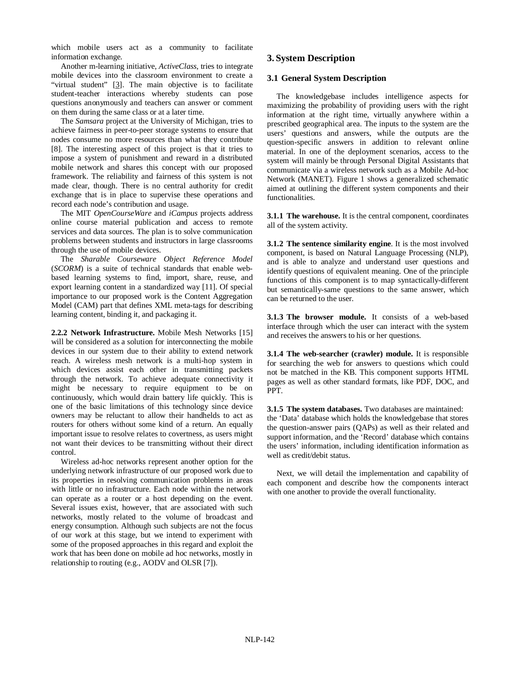which mobile users act as a community to facilitate information exchange.

Another m-learning initiative, *ActiveClass*, tries to integrate mobile devices into the classroom environment to create a "virtual student" [3]. The main objective is to facilitate student-teacher interactions whereby students can pose questions anonymously and teachers can answer or comment on them during the same class or at a later time.

The *Samsara* project at the University of Michigan, tries to achieve fairness in peer-to-peer storage systems to ensure that nodes consume no more resources than what they contribute [8]. The interesting aspect of this project is that it tries to impose a system of punishment and reward in a distributed mobile network and shares this concept with our proposed framework. The reliability and fairness of this system is not made clear, though. There is no central authority for credit exchange that is in place to supervise these operations and record each node's contribution and usage.

The MIT *OpenCourseWare* and *iCampus* projects address online course material publication and access to remote services and data sources. The plan is to solve communication problems between students and instructors in large classrooms through the use of mobile devices.

The *Sharable Courseware Object Reference Model*  (*SCORM*) is a suite of technical standards that enable webbased learning systems to find, import, share, reuse, and export learning content in a standardized way [11]. Of special importance to our proposed work is the Content Aggregation Model (CAM) part that defines XML meta-tags for describing learning content, binding it, and packaging it.

**2.2.2 Network Infrastructure.** Mobile Mesh Networks [15] will be considered as a solution for interconnecting the mobile devices in our system due to their ability to extend network reach. A wireless mesh network is a multi-hop system in which devices assist each other in transmitting packets through the network. To achieve adequate connectivity it might be necessary to require equipment to be on continuously, which would drain battery life quickly. This is one of the basic limitations of this technology since device owners may be reluctant to allow their handhelds to act as routers for others without some kind of a return. An equally important issue to resolve relates to covertness, as users might not want their devices to be transmitting without their direct control.

Wireless ad-hoc networks represent another option for the underlying network infrastructure of our proposed work due to its properties in resolving communication problems in areas with little or no infrastructure. Each node within the network can operate as a router or a host depending on the event. Several issues exist, however, that are associated with such networks, mostly related to the volume of broadcast and energy consumption. Although such subjects are not the focus of our work at this stage, but we intend to experiment with some of the proposed approaches in this regard and exploit the work that has been done on mobile ad hoc networks, mostly in relationship to routing (e.g., AODV and OLSR [7]).

# **3. System Description**

### **3.1 General System Description**

The knowledgebase includes intelligence aspects for maximizing the probability of providing users with the right information at the right time, virtually anywhere within a prescribed geographical area. The inputs to the system are the users' questions and answers, while the outputs are the question-specific answers in addition to relevant online material. In one of the deployment scenarios, access to the system will mainly be through Personal Digital Assistants that communicate via a wireless network such as a Mobile Ad-hoc Network (MANET). Figure 1 shows a generalized schematic aimed at outlining the different system components and their functionalities.

**3.1.1 The warehouse.** It is the central component, coordinates all of the system activity.

**3.1.2 The sentence similarity engine**. It is the most involved component, is based on Natural Language Processing (NLP), and is able to analyze and understand user questions and identify questions of equivalent meaning. One of the principle functions of this component is to map syntactically-different but semantically-same questions to the same answer, which can be returned to the user.

**3.1.3 The browser module.** It consists of a web-based interface through which the user can interact with the system and receives the answers to his or her questions.

**3.1.4 The web-searcher (crawler) module.** It is responsible for searching the web for answers to questions which could not be matched in the KB. This component supports HTML pages as well as other standard formats, like PDF, DOC, and PPT.

**3.1.5 The system databases.** Two databases are maintained: the 'Data' database which holds the knowledgebase that stores the question-answer pairs (QAPs) as well as their related and support information, and the 'Record' database which contains the users' information, including identification information as well as credit/debit status.

Next, we will detail the implementation and capability of each component and describe how the components interact with one another to provide the overall functionality.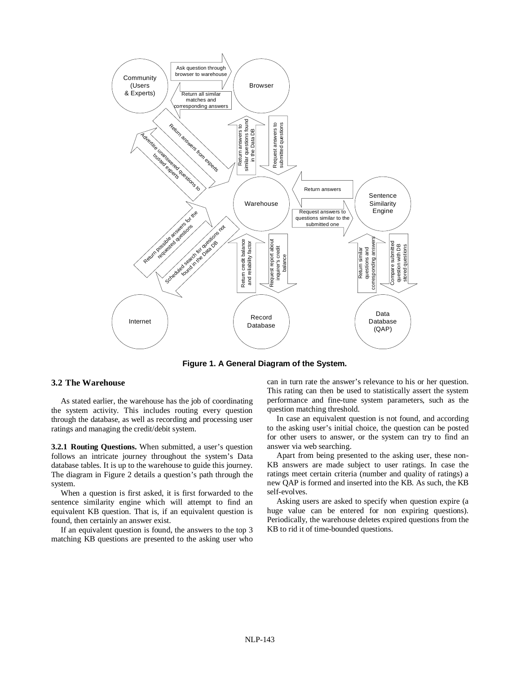

**Figure 1. A General Diagram of the System.**

#### **3.2 The Warehouse**

As stated earlier, the warehouse has the job of coordinating the system activity. This includes routing every question through the database, as well as recording and processing user ratings and managing the credit/debit system.

**3.2.1 Routing Questions.** When submitted, a user's question follows an intricate journey throughout the system's Data database tables. It is up to the warehouse to guide this journey. The diagram in Figure 2 details a question's path through the system.

When a question is first asked, it is first forwarded to the sentence similarity engine which will attempt to find an equivalent KB question. That is, if an equivalent question is found, then certainly an answer exist.

If an equivalent question is found, the answers to the top 3 matching KB questions are presented to the asking user who

can in turn rate the answer's relevance to his or her question. This rating can then be used to statistically assert the system performance and fine-tune system parameters, such as the question matching threshold.

In case an equivalent question is not found, and according to the asking user's initial choice, the question can be posted for other users to answer, or the system can try to find an answer via web searching.

Apart from being presented to the asking user, these non-KB answers are made subject to user ratings. In case the ratings meet certain criteria (number and quality of ratings) a new QAP is formed and inserted into the KB. As such, the KB self-evolves.

Asking users are asked to specify when question expire (a huge value can be entered for non expiring questions). Periodically, the warehouse deletes expired questions from the KB to rid it of time-bounded questions.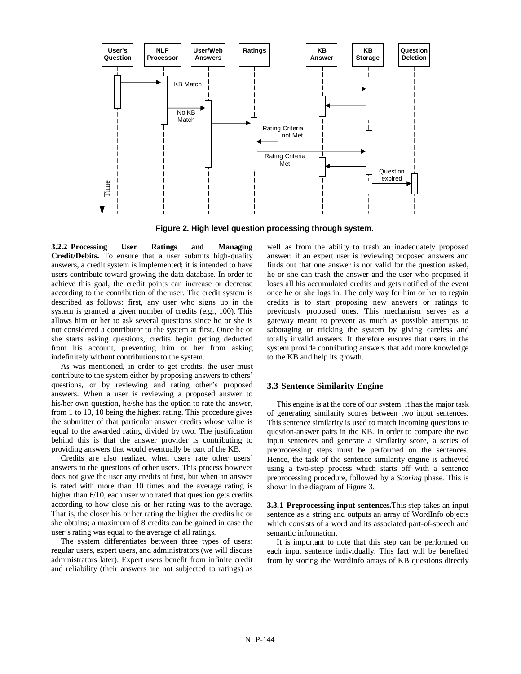

**Figure 2. High level question processing through system.**

**3.2.2 Processing User Ratings and Managing Credit/Debits.** To ensure that a user submits high-quality answers, a credit system is implemented; it is intended to have users contribute toward growing the data database. In order to achieve this goal, the credit points can increase or decrease according to the contribution of the user. The credit system is described as follows: first, any user who signs up in the system is granted a given number of credits (e.g., 100). This allows him or her to ask several questions since he or she is not considered a contributor to the system at first. Once he or she starts asking questions, credits begin getting deducted from his account, preventing him or her from asking indefinitely without contributions to the system.

As was mentioned, in order to get credits, the user must contribute to the system either by proposing answers to others' questions, or by reviewing and rating other's proposed answers. When a user is reviewing a proposed answer to his/her own question, he/she has the option to rate the answer, from 1 to 10, 10 being the highest rating. This procedure gives the submitter of that particular answer credits whose value is equal to the awarded rating divided by two. The justification behind this is that the answer provider is contributing to providing answers that would eventually be part of the KB.

Credits are also realized when users rate other users' answers to the questions of other users. This process however does not give the user any credits at first, but when an answer is rated with more than 10 times and the average rating is higher than 6/10, each user who rated that question gets credits according to how close his or her rating was to the average. That is, the closer his or her rating the higher the credits he or she obtains; a maximum of 8 credits can be gained in case the user's rating was equal to the average of all ratings.

The system differentiates between three types of users: regular users, expert users, and administrators (we will discuss administrators later). Expert users benefit from infinite credit and reliability (their answers are not subjected to ratings) as

well as from the ability to trash an inadequately proposed answer: if an expert user is reviewing proposed answers and finds out that one answer is not valid for the question asked, he or she can trash the answer and the user who proposed it loses all his accumulated credits and gets notified of the event once he or she logs in. The only way for him or her to regain credits is to start proposing new answers or ratings to previously proposed ones. This mechanism serves as a gateway meant to prevent as much as possible attempts to sabotaging or tricking the system by giving careless and totally invalid answers. It therefore ensures that users in the system provide contributing answers that add more knowledge to the KB and help its growth.

#### **3.3 Sentence Similarity Engine**

This engine is at the core of our system: it has the major task of generating similarity scores between two input sentences. This sentence similarity is used to match incoming questions to question-answer pairs in the KB. In order to compare the two input sentences and generate a similarity score, a series of preprocessing steps must be performed on the sentences. Hence, the task of the sentence similarity engine is achieved using a two-step process which starts off with a sentence preprocessing procedure, followed by a *Scoring* phase. This is shown in the diagram of Figure 3.

**3.3.1 Preprocessing input sentences.**This step takes an input sentence as a string and outputs an array of WordInfo objects which consists of a word and its associated part-of-speech and semantic information.

It is important to note that this step can be performed on each input sentence individually. This fact will be benefited from by storing the WordInfo arrays of KB questions directly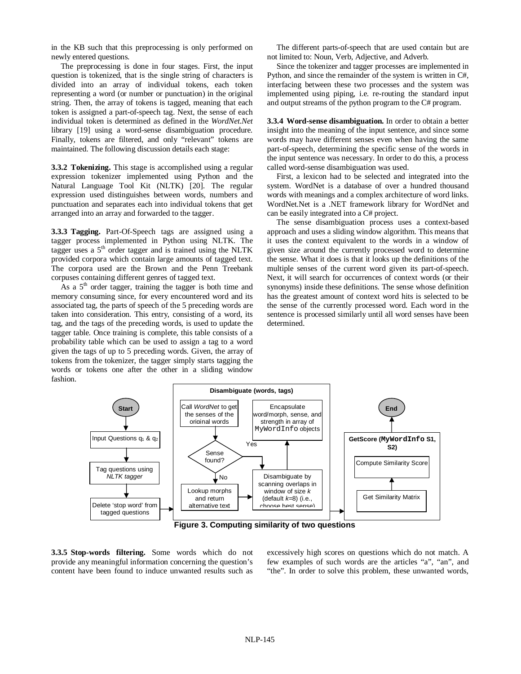in the KB such that this preprocessing is only performed on newly entered questions.

The preprocessing is done in four stages. First, the input question is tokenized, that is the single string of characters is divided into an array of individual tokens, each token representing a word (or number or punctuation) in the original string. Then, the array of tokens is tagged, meaning that each token is assigned a part-of-speech tag. Next, the sense of each individual token is determined as defined in the *WordNet.Net* library [19] using a word-sense disambiguation procedure. Finally, tokens are filtered, and only "relevant" tokens are maintained. The following discussion details each stage:

**3.3.2 Tokenizing.** This stage is accomplished using a regular expression tokenizer implemented using Python and the Natural Language Tool Kit (NLTK) [20]. The regular expression used distinguishes between words, numbers and punctuation and separates each into individual tokens that get arranged into an array and forwarded to the tagger.

**3.3.3 Tagging.** Part-Of-Speech tags are assigned using a tagger process implemented in Python using NLTK. The tagger uses a  $5<sup>th</sup>$  order tagger and is trained using the NLTK provided corpora which contain large amounts of tagged text. The corpora used are the Brown and the Penn Treebank corpuses containing different genres of tagged text.

As a  $5<sup>th</sup>$  order tagger, training the tagger is both time and memory consuming since, for every encountered word and its associated tag, the parts of speech of the 5 preceding words are taken into consideration. This entry, consisting of a word, its tag, and the tags of the preceding words, is used to update the tagger table. Once training is complete, this table consists of a probability table which can be used to assign a tag to a word given the tags of up to 5 preceding words. Given, the array of tokens from the tokenizer, the tagger simply starts tagging the words or tokens one after the other in a sliding window fashion.

The different parts-of-speech that are used contain but are not limited to: Noun, Verb, Adjective, and Adverb.

Since the tokenizer and tagger processes are implemented in Python, and since the remainder of the system is written in C#, interfacing between these two processes and the system was implemented using piping, i.e. re-routing the standard input and output streams of the python program to the C# program.

**3.3.4 Word-sense disambiguation.** In order to obtain a better insight into the meaning of the input sentence, and since some words may have different senses even when having the same part-of-speech, determining the specific sense of the words in the input sentence was necessary. In order to do this, a process called word-sense disambiguation was used.

First, a lexicon had to be selected and integrated into the system. WordNet is a database of over a hundred thousand words with meanings and a complex architecture of word links. WordNet.Net is a .NET framework library for WordNet and can be easily integrated into a C# project.

The sense disambiguation process uses a context-based approach and uses a sliding window algorithm. This means that it uses the context equivalent to the words in a window of given size around the currently processed word to determine the sense. What it does is that it looks up the definitions of the multiple senses of the current word given its part-of-speech. Next, it will search for occurrences of context words (or their synonyms) inside these definitions. The sense whose definition has the greatest amount of context word hits is selected to be the sense of the currently processed word. Each word in the sentence is processed similarly until all word senses have been determined.



**Figure 3. Computing similarity of two questions**

**3.3.5 Stop-words filtering.** Some words which do not provide any meaningful information concerning the question's content have been found to induce unwanted results such as

excessively high scores on questions which do not match. A few examples of such words are the articles "a", "an", and "the". In order to solve this problem, these unwanted words,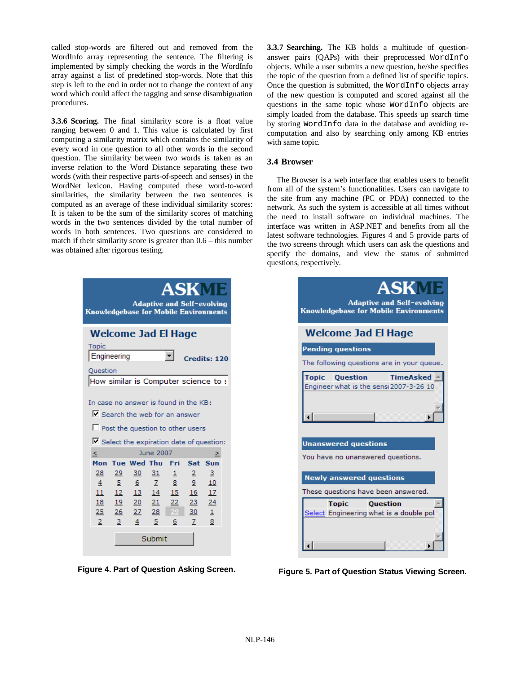called stop-words are filtered out and removed from the WordInfo array representing the sentence. The filtering is implemented by simply checking the words in the WordInfo array against a list of predefined stop-words. Note that this step is left to the end in order not to change the context of any word which could affect the tagging and sense disambiguation procedures.

**3.3.6 Scoring.** The final similarity score is a float value ranging between 0 and 1. This value is calculated by first computing a similarity matrix which contains the similarity of every word in one question to all other words in the second question. The similarity between two words is taken as an inverse relation to the Word Distance separating these two words (with their respective parts-of-speech and senses) in the WordNet lexicon. Having computed these word-to-word similarities, the similarity between the two sentences is computed as an average of these individual similarity scores: It is taken to be the sum of the similarity scores of matching words in the two sentences divided by the total number of words in both sentences. Two questions are considered to match if their similarity score is greater than 0.6 – this number was obtained after rigorous testing.





**3.3.7 Searching.** The KB holds a multitude of questionanswer pairs (QAPs) with their preprocessed WordInfo objects. While a user submits a new question, he/she specifies the topic of the question from a defined list of specific topics. Once the question is submitted, the WordInfo objects array of the new question is computed and scored against all the questions in the same topic whose WordInfo objects are simply loaded from the database. This speeds up search time by storing WordInfo data in the database and avoiding recomputation and also by searching only among KB entries with same topic.

### **3.4 Browser**

The Browser is a web interface that enables users to benefit from all of the system's functionalities. Users can navigate to the site from any machine (PC or PDA) connected to the network. As such the system is accessible at all times without the need to install software on individual machines. The interface was written in ASP.NET and benefits from all the latest software technologies. Figures 4 and 5 provide parts of the two screens through which users can ask the questions and specify the domains, and view the status of submitted questions, respectively.

| <b>ASKME</b><br>Adaptive and Self-evolving<br><b>Knowledgebase for Mobile Environments</b> |  |  |  |  |  |
|--------------------------------------------------------------------------------------------|--|--|--|--|--|
| <b>Welcome Jad El Hage</b>                                                                 |  |  |  |  |  |
| <b>Pending questions</b>                                                                   |  |  |  |  |  |
| The following questions are in your queue.                                                 |  |  |  |  |  |
| Topic Question TimeAsked A<br>Engineer what is the sensi 2007-3-26 10                      |  |  |  |  |  |
| <b>Unanswered questions</b>                                                                |  |  |  |  |  |
| You have no unanswered questions.                                                          |  |  |  |  |  |
| <b>Newly answered questions</b>                                                            |  |  |  |  |  |
| These questions have been answered.                                                        |  |  |  |  |  |
| <b>Topic</b><br><b>Ouestion</b><br>Select Engineering what is a double pol                 |  |  |  |  |  |

**Figure 5. Part of Question Status Viewing Screen.**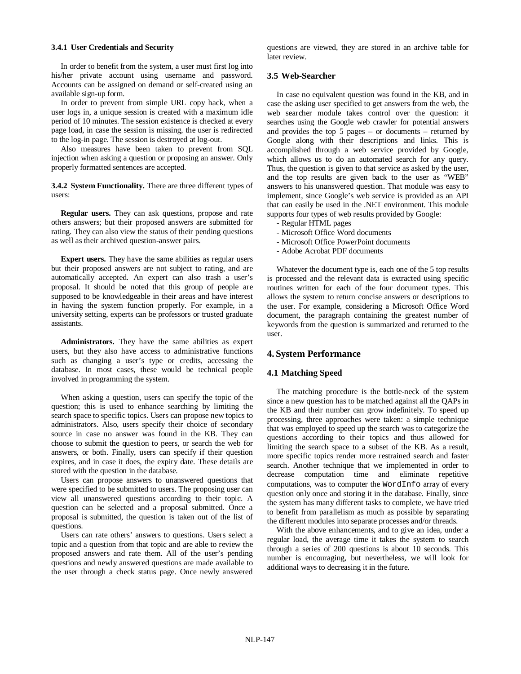#### **3.4.1 User Credentials and Security**

In order to benefit from the system, a user must first log into his/her private account using username and password. Accounts can be assigned on demand or self-created using an available sign-up form.

In order to prevent from simple URL copy hack, when a user logs in, a unique session is created with a maximum idle period of 10 minutes. The session existence is checked at every page load, in case the session is missing, the user is redirected to the log-in page. The session is destroyed at log-out.

Also measures have been taken to prevent from SQL injection when asking a question or proposing an answer. Only properly formatted sentences are accepted.

**3.4.2 System Functionality.** There are three different types of users:

**Regular users.** They can ask questions, propose and rate others answers; but their proposed answers are submitted for rating. They can also view the status of their pending questions as well as their archived question-answer pairs.

**Expert users.** They have the same abilities as regular users but their proposed answers are not subject to rating, and are automatically accepted. An expert can also trash a user's proposal. It should be noted that this group of people are supposed to be knowledgeable in their areas and have interest in having the system function properly. For example, in a university setting, experts can be professors or trusted graduate assistants.

**Administrators.** They have the same abilities as expert users, but they also have access to administrative functions such as changing a user's type or credits, accessing the database. In most cases, these would be technical people involved in programming the system.

When asking a question, users can specify the topic of the question; this is used to enhance searching by limiting the search space to specific topics. Users can propose new topics to administrators. Also, users specify their choice of secondary source in case no answer was found in the KB. They can choose to submit the question to peers, or search the web for answers, or both. Finally, users can specify if their question expires, and in case it does, the expiry date. These details are stored with the question in the database.

Users can propose answers to unanswered questions that were specified to be submitted to users. The proposing user can view all unanswered questions according to their topic. A question can be selected and a proposal submitted. Once a proposal is submitted, the question is taken out of the list of questions.

Users can rate others' answers to questions. Users select a topic and a question from that topic and are able to review the proposed answers and rate them. All of the user's pending questions and newly answered questions are made available to the user through a check status page. Once newly answered questions are viewed, they are stored in an archive table for later review.

#### **3.5 Web-Searcher**

In case no equivalent question was found in the KB, and in case the asking user specified to get answers from the web, the web searcher module takes control over the question: it searches using the Google web crawler for potential answers and provides the top 5 pages – or documents – returned by Google along with their descriptions and links. This is accomplished through a web service provided by Google, which allows us to do an automated search for any query. Thus, the question is given to that service as asked by the user, and the top results are given back to the user as "WEB" answers to his unanswered question. That module was easy to implement, since Google's web service is provided as an API that can easily be used in the .NET environment. This module supports four types of web results provided by Google:

- Regular HTML pages

- Microsoft Office Word documents
- Microsoft Office PowerPoint documents
- Adobe Acrobat PDF documents

Whatever the document type is, each one of the 5 top results is processed and the relevant data is extracted using specific routines written for each of the four document types. This allows the system to return concise answers or descriptions to the user. For example, considering a Microsoft Office Word document, the paragraph containing the greatest number of keywords from the question is summarized and returned to the user.

#### **4. System Performance**

#### **4.1 Matching Speed**

The matching procedure is the bottle-neck of the system since a new question has to be matched against all the QAPs in the KB and their number can grow indefinitely. To speed up processing, three approaches were taken: a simple technique that was employed to speed up the search was to categorize the questions according to their topics and thus allowed for limiting the search space to a subset of the KB. As a result, more specific topics render more restrained search and faster search. Another technique that we implemented in order to decrease computation time and eliminate repetitive computations, was to computer the WordInfo array of every question only once and storing it in the database. Finally, since the system has many different tasks to complete, we have tried to benefit from parallelism as much as possible by separating the different modules into separate processes and/or threads.

With the above enhancements, and to give an idea, under a regular load, the average time it takes the system to search through a series of 200 questions is about 10 seconds. This number is encouraging, but nevertheless, we will look for additional ways to decreasing it in the future.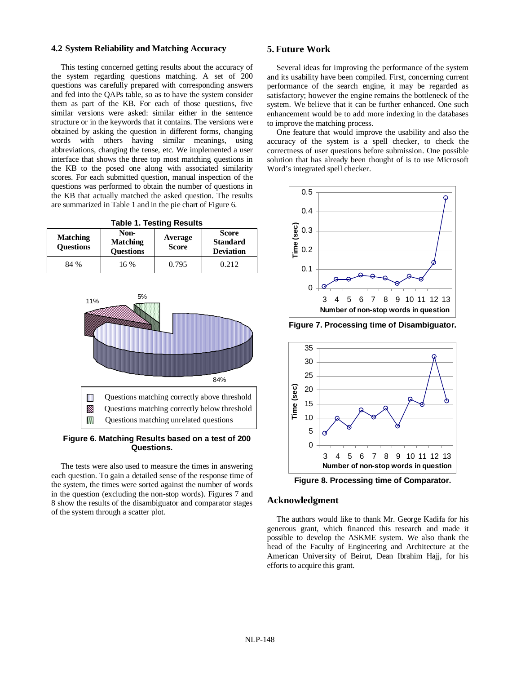### **4.2 System Reliability and Matching Accuracy**

This testing concerned getting results about the accuracy of the system regarding questions matching. A set of 200 questions was carefully prepared with corresponding answers and fed into the QAPs table, so as to have the system consider them as part of the KB. For each of those questions, five similar versions were asked: similar either in the sentence structure or in the keywords that it contains. The versions were obtained by asking the question in different forms, changing words with others having similar meanings, using abbreviations, changing the tense, etc. We implemented a user interface that shows the three top most matching questions in the KB to the posed one along with associated similarity scores. For each submitted question, manual inspection of the questions was performed to obtain the number of questions in the KB that actually matched the asked question. The results are summarized in Table 1 and in the pie chart of Figure 6.

| <b>Table 1. Testing Results</b> |  |
|---------------------------------|--|
|---------------------------------|--|

| <b>Matching</b><br><b>Questions</b> | Non-<br><b>Matching</b><br><b>Questions</b> | Average<br><b>Score</b> | <b>Score</b><br><b>Standard</b><br><b>Deviation</b> |
|-------------------------------------|---------------------------------------------|-------------------------|-----------------------------------------------------|
| 84 %                                | 16 %                                        | 0.795                   | 0.212                                               |



**Figure 6. Matching Results based on a test of 200 Questions.**

The tests were also used to measure the times in answering each question. To gain a detailed sense of the response time of the system, the times were sorted against the number of words in the question (excluding the non-stop words). Figures 7 and 8 show the results of the disambiguator and comparator stages of the system through a scatter plot.

### **5. Future Work**

Several ideas for improving the performance of the system and its usability have been compiled. First, concerning current performance of the search engine, it may be regarded as satisfactory; however the engine remains the bottleneck of the system. We believe that it can be further enhanced. One such enhancement would be to add more indexing in the databases to improve the matching process.

One feature that would improve the usability and also the accuracy of the system is a spell checker, to check the correctness of user questions before submission. One possible solution that has already been thought of is to use Microsoft Word's integrated spell checker.



**Figure 7. Processing time of Disambiguator.**



**Figure 8. Processing time of Comparator.**

## **Acknowledgment**

The authors would like to thank Mr. George Kadifa for his generous grant, which financed this research and made it possible to develop the ASKME system. We also thank the head of the Faculty of Engineering and Architecture at the American University of Beirut, Dean Ibrahim Hajj, for his efforts to acquire this grant.